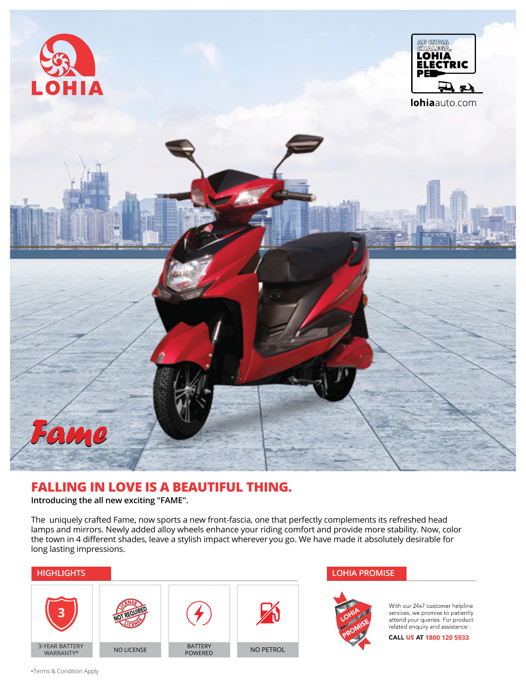





# **FALLING IN LOVE IS A BEAUTIFUL THING.**

**Introducing the all new exciting "FAME".**

The uniquely crafted Fame, now sports a new front-fascia, one that perfectly complements its refreshed head lamps and mirrors. Newly added alloy wheels enhance your riding comfort and provide more stability. Now, color the town in 4 different shades, leave a stylish impact wherever you go. We have made it absolutely desirable for long lasting impressions.





With our 24x7 customer helpline services, we promise to patiently<br>attend your queries. For product<br>related enquiry and assistance:

CALL US AT 1800 120 5933

Terms & Condition Apply